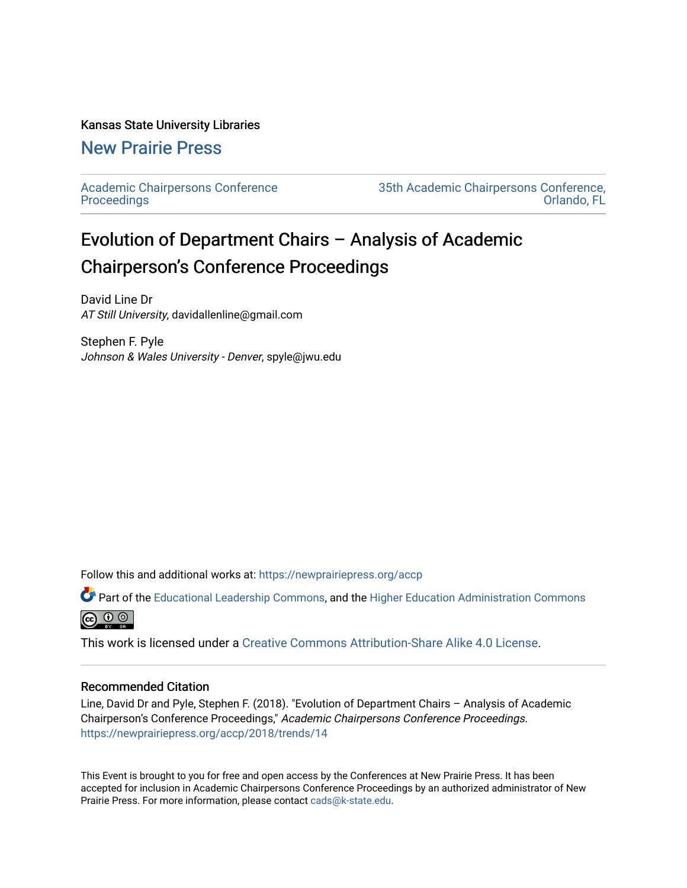## Kansas State University Libraries

## [New Prairie Press](https://newprairiepress.org/)

[Academic Chairpersons Conference](https://newprairiepress.org/accp)  **Proceedings** 

[35th Academic Chairpersons Conference,](https://newprairiepress.org/accp/2018)  [Orlando, FL](https://newprairiepress.org/accp/2018) 

## Evolution of Department Chairs – Analysis of Academic Chairperson's Conference Proceedings

David Line Dr AT Still University, davidallenline@gmail.com

Stephen F. Pyle Johnson & Wales University - Denver, spyle@jwu.edu

Follow this and additional works at: [https://newprairiepress.org/accp](https://newprairiepress.org/accp?utm_source=newprairiepress.org%2Faccp%2F2018%2Ftrends%2F14&utm_medium=PDF&utm_campaign=PDFCoverPages) 

Part of the [Educational Leadership Commons,](http://network.bepress.com/hgg/discipline/1230?utm_source=newprairiepress.org%2Faccp%2F2018%2Ftrends%2F14&utm_medium=PDF&utm_campaign=PDFCoverPages) and the [Higher Education Administration Commons](http://network.bepress.com/hgg/discipline/791?utm_source=newprairiepress.org%2Faccp%2F2018%2Ftrends%2F14&utm_medium=PDF&utm_campaign=PDFCoverPages) **@** ⊙ ⊚

This work is licensed under a [Creative Commons Attribution-Share Alike 4.0 License.](https://creativecommons.org/licenses/by-sa/4.0/)

## Recommended Citation

Line, David Dr and Pyle, Stephen F. (2018). "Evolution of Department Chairs – Analysis of Academic Chairperson's Conference Proceedings," Academic Chairpersons Conference Proceedings. <https://newprairiepress.org/accp/2018/trends/14>

This Event is brought to you for free and open access by the Conferences at New Prairie Press. It has been accepted for inclusion in Academic Chairpersons Conference Proceedings by an authorized administrator of New Prairie Press. For more information, please contact [cads@k-state.edu.](mailto:cads@k-state.edu)